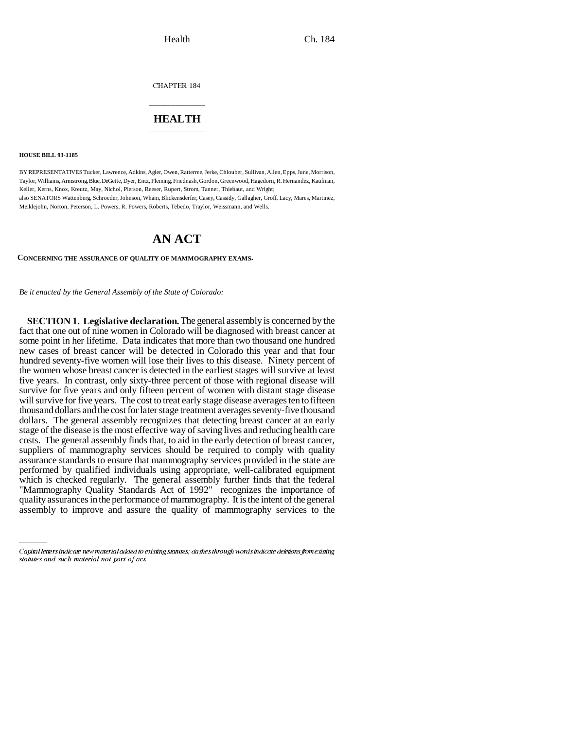CHAPTER 184

## \_\_\_\_\_\_\_\_\_\_\_\_\_\_\_ **HEALTH** \_\_\_\_\_\_\_\_\_\_\_\_\_\_\_

**HOUSE BILL 93-1185**

BY REPRESENTATIVES Tucker, Lawrence, Adkins, Agler, Owen, Ratterree, Jerke, Chlouber, Sullivan, Allen, Epps, June, Morrison, Taylor, Williams, Armstrong, Blue, DeGette, Dyer, Entz, Fleming, Friednash, Gordon, Greenwood, Hagedorn, R. Hernandez, Kaufman, Keller, Kerns, Knox, Kreutz, May, Nichol, Pierson, Reeser, Rupert, Strom, Tanner, Thiebaut, and Wright; also SENATORS Wattenberg, Schroeder, Johnson, Wham, Blickensderfer, Casey, Cassidy, Gallagher, Groff, Lacy, Mares, Martinez, Meiklejohn, Norton, Peterson, L. Powers, R. Powers, Roberts, Tebedo, Traylor, Weissmann, and Wells.

## **AN ACT**

**CONCERNING THE ASSURANCE OF QUALITY OF MAMMOGRAPHY EXAMS.**

*Be it enacted by the General Assembly of the State of Colorado:*

performed by qualified individuals using appropriate, well-calibrated equipment **SECTION 1. Legislative declaration.** The general assembly is concerned by the fact that one out of nine women in Colorado will be diagnosed with breast cancer at some point in her lifetime. Data indicates that more than two thousand one hundred new cases of breast cancer will be detected in Colorado this year and that four hundred seventy-five women will lose their lives to this disease. Ninety percent of the women whose breast cancer is detected in the earliest stages will survive at least five years. In contrast, only sixty-three percent of those with regional disease will survive for five years and only fifteen percent of women with distant stage disease will survive for five years. The cost to treat early stage disease averages ten to fifteen thousand dollars and the cost for later stage treatment averages seventy-five thousand dollars. The general assembly recognizes that detecting breast cancer at an early stage of the disease is the most effective way of saving lives and reducing health care costs. The general assembly finds that, to aid in the early detection of breast cancer, suppliers of mammography services should be required to comply with quality assurance standards to ensure that mammography services provided in the state are which is checked regularly. The general assembly further finds that the federal "Mammography Quality Standards Act of 1992" recognizes the importance of quality assurances in the performance of mammography. It is the intent of the general assembly to improve and assure the quality of mammography services to the

Capital letters indicate new material added to existing statutes; dashes through words indicate deletions from existing statutes and such material not part of act.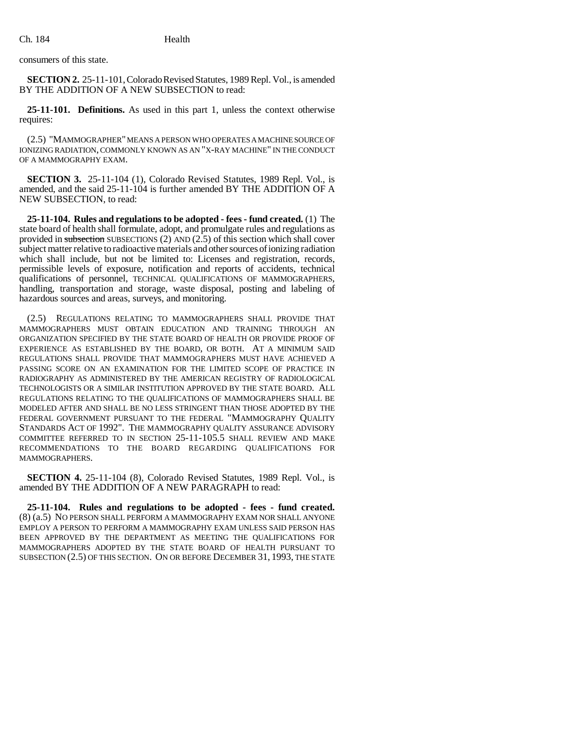consumers of this state.

**SECTION 2.** 25-11-101, Colorado Revised Statutes, 1989 Repl. Vol., is amended BY THE ADDITION OF A NEW SUBSECTION to read:

**25-11-101. Definitions.** As used in this part 1, unless the context otherwise requires:

(2.5) "MAMMOGRAPHER" MEANS A PERSON WHO OPERATES A MACHINE SOURCE OF IONIZING RADIATION, COMMONLY KNOWN AS AN "X-RAY MACHINE" IN THE CONDUCT OF A MAMMOGRAPHY EXAM.

**SECTION 3.** 25-11-104 (1), Colorado Revised Statutes, 1989 Repl. Vol., is amended, and the said 25-11-104 is further amended BY THE ADDITION OF A NEW SUBSECTION, to read:

**25-11-104. Rules and regulations to be adopted - fees - fund created.** (1) The state board of health shall formulate, adopt, and promulgate rules and regulations as provided in subsection SUBSECTIONS  $(2)$  AND  $(2.5)$  of this section which shall cover subject matter relative to radioactive materials and other sources of ionizing radiation which shall include, but not be limited to: Licenses and registration, records, permissible levels of exposure, notification and reports of accidents, technical qualifications of personnel, TECHNICAL QUALIFICATIONS OF MAMMOGRAPHERS, handling, transportation and storage, waste disposal, posting and labeling of hazardous sources and areas, surveys, and monitoring.

(2.5) REGULATIONS RELATING TO MAMMOGRAPHERS SHALL PROVIDE THAT MAMMOGRAPHERS MUST OBTAIN EDUCATION AND TRAINING THROUGH AN ORGANIZATION SPECIFIED BY THE STATE BOARD OF HEALTH OR PROVIDE PROOF OF EXPERIENCE AS ESTABLISHED BY THE BOARD, OR BOTH. AT A MINIMUM SAID REGULATIONS SHALL PROVIDE THAT MAMMOGRAPHERS MUST HAVE ACHIEVED A PASSING SCORE ON AN EXAMINATION FOR THE LIMITED SCOPE OF PRACTICE IN RADIOGRAPHY AS ADMINISTERED BY THE AMERICAN REGISTRY OF RADIOLOGICAL TECHNOLOGISTS OR A SIMILAR INSTITUTION APPROVED BY THE STATE BOARD. ALL REGULATIONS RELATING TO THE QUALIFICATIONS OF MAMMOGRAPHERS SHALL BE MODELED AFTER AND SHALL BE NO LESS STRINGENT THAN THOSE ADOPTED BY THE FEDERAL GOVERNMENT PURSUANT TO THE FEDERAL "MAMMOGRAPHY QUALITY STANDARDS ACT OF 1992". THE MAMMOGRAPHY QUALITY ASSURANCE ADVISORY COMMITTEE REFERRED TO IN SECTION 25-11-105.5 SHALL REVIEW AND MAKE RECOMMENDATIONS TO THE BOARD REGARDING QUALIFICATIONS FOR MAMMOGRAPHERS.

**SECTION 4.** 25-11-104 (8), Colorado Revised Statutes, 1989 Repl. Vol., is amended BY THE ADDITION OF A NEW PARAGRAPH to read:

**25-11-104. Rules and regulations to be adopted - fees - fund created.** (8) (a.5) NO PERSON SHALL PERFORM A MAMMOGRAPHY EXAM NOR SHALL ANYONE EMPLOY A PERSON TO PERFORM A MAMMOGRAPHY EXAM UNLESS SAID PERSON HAS BEEN APPROVED BY THE DEPARTMENT AS MEETING THE QUALIFICATIONS FOR MAMMOGRAPHERS ADOPTED BY THE STATE BOARD OF HEALTH PURSUANT TO SUBSECTION (2.5) OF THIS SECTION. ON OR BEFORE DECEMBER 31, 1993, THE STATE